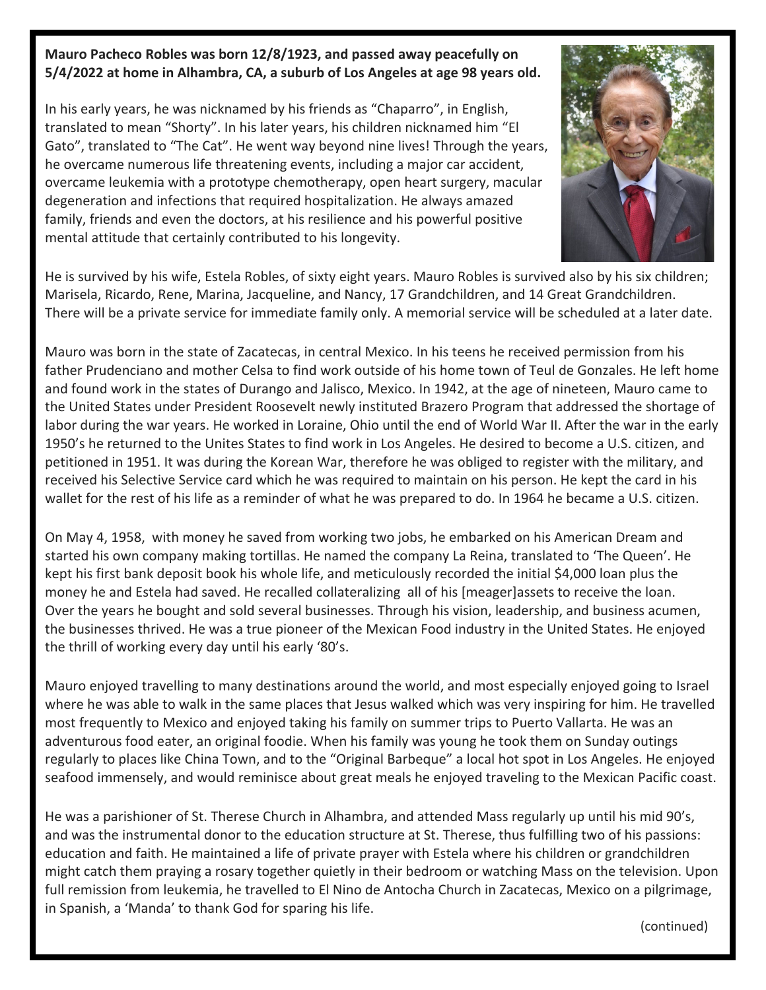## **Mauro Pacheco Robles was born 12/8/1923, and passed away peacefully on 5/4/2022 at home in Alhambra, CA, a suburb of Los Angeles at age 98 years old.**

In his early years, he was nicknamed by his friends as "Chaparro", in English, translated to mean "Shorty". In his later years, his children nicknamed him "El Gato", translated to "The Cat". He went way beyond nine lives! Through the years, he overcame numerous life threatening events, including a major car accident, overcame leukemia with a prototype chemotherapy, open heart surgery, macular degeneration and infections that required hospitalization. He always amazed family, friends and even the doctors, at his resilience and his powerful positive mental attitude that certainly contributed to his longevity.



He is survived by his wife, Estela Robles, of sixty eight years. Mauro Robles is survived also by his six children; Marisela, Ricardo, Rene, Marina, Jacqueline, and Nancy, 17 Grandchildren, and 14 Great Grandchildren. There will be a private service for immediate family only. A memorial service will be scheduled at a later date.

Mauro was born in the state of Zacatecas, in central Mexico. In his teens he received permission from his father Prudenciano and mother Celsa to find work outside of his home town of Teul de Gonzales. He left home and found work in the states of Durango and Jalisco, Mexico. In 1942, at the age of nineteen, Mauro came to the United States under President Roosevelt newly instituted Brazero Program that addressed the shortage of labor during the war years. He worked in Loraine, Ohio until the end of World War II. After the war in the early 1950's he returned to the Unites States to find work in Los Angeles. He desired to become a U.S. citizen, and petitioned in 1951. It was during the Korean War, therefore he was obliged to register with the military, and received his Selective Service card which he was required to maintain on his person. He kept the card in his wallet for the rest of his life as a reminder of what he was prepared to do. In 1964 he became a U.S. citizen.

On May 4, 1958, with money he saved from working two jobs, he embarked on his American Dream and started his own company making tortillas. He named the company La Reina, translated to 'The Queen'. He kept his first bank deposit book his whole life, and meticulously recorded the initial \$4,000 loan plus the money he and Estela had saved. He recalled collateralizing all of his [meager]assets to receive the loan. Over the years he bought and sold several businesses. Through his vision, leadership, and business acumen, the businesses thrived. He was a true pioneer of the Mexican Food industry in the United States. He enjoyed the thrill of working every day until his early '80's.

Mauro enjoyed travelling to many destinations around the world, and most especially enjoyed going to Israel where he was able to walk in the same places that Jesus walked which was very inspiring for him. He travelled most frequently to Mexico and enjoyed taking his family on summer trips to Puerto Vallarta. He was an adventurous food eater, an original foodie. When his family was young he took them on Sunday outings regularly to places like China Town, and to the "Original Barbeque" a local hot spot in Los Angeles. He enjoyed seafood immensely, and would reminisce about great meals he enjoyed traveling to the Mexican Pacific coast.

He was a parishioner of St. Therese Church in Alhambra, and attended Mass regularly up until his mid 90's, and was the instrumental donor to the education structure at St. Therese, thus fulfilling two of his passions: education and faith. He maintained a life of private prayer with Estela where his children or grandchildren might catch them praying a rosary together quietly in their bedroom or watching Mass on the television. Upon full remission from leukemia, he travelled to El Nino de Antocha Church in Zacatecas, Mexico on a pilgrimage, in Spanish, a 'Manda' to thank God for sparing his life.

(continued)